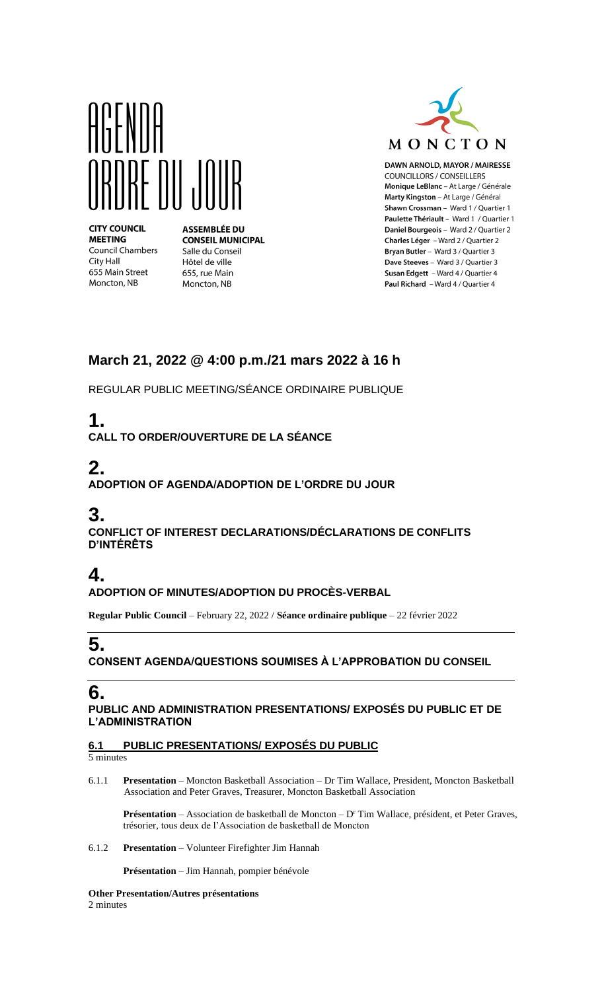

**CITY COUNCIL MEETING Council Chambers** City Hall 655 Main Street Moncton, NB

**ASSEMBLÉE DU CONSEIL MUNICIPAL** Salle du Conseil Hôtel de ville 655, rue Main Moncton, NB



DAWN ARNOLD, MAYOR / MAIRESSE **COUNCILLORS / CONSEILLERS** Monique LeBlanc - At Large / Générale Marty Kingston - At Large / Général Shawn Crossman - Ward 1 / Quartier 1 Paulette Thériault - Ward 1 / Quartier 1 Daniel Bourgeois - Ward 2 / Quartier 2 Charles Léger - Ward 2 / Quartier 2 Bryan Butler - Ward 3 / Quartier 3 Dave Steeves - Ward 3 / Quartier 3 Susan Edgett - Ward 4 / Quartier 4 Paul Richard - Ward 4 / Quartier 4

### **March 21, 2022 @ 4:00 p.m./21 mars 2022 à 16 h**

REGULAR PUBLIC MEETING/SÉANCE ORDINAIRE PUBLIQUE

# **1.**

**CALL TO ORDER/OUVERTURE DE LA SÉANCE**

# **2.**

**ADOPTION OF AGENDA/ADOPTION DE L'ORDRE DU JOUR**

## **3.**

**CONFLICT OF INTEREST DECLARATIONS/DÉCLARATIONS DE CONFLITS D'INTÉRÊTS**

# **4.**

#### **ADOPTION OF MINUTES/ADOPTION DU PROCÈS-VERBAL**

**Regular Public Council** – February 22, 2022 / **Séance ordinaire publique** – 22 février 2022

# **5.**

**CONSENT AGENDA/QUESTIONS SOUMISES À L'APPROBATION DU CONSEIL**

## **6.**

**PUBLIC AND ADMINISTRATION PRESENTATIONS/ EXPOSÉS DU PUBLIC ET DE L'ADMINISTRATION**

## **6.1 PUBLIC PRESENTATIONS/ EXPOSÉS DU PUBLIC**

5 minutes

6.1.1 **Presentation** – Moncton Basketball Association – Dr Tim Wallace, President, Moncton Basketball Association and Peter Graves, Treasurer, Moncton Basketball Association

Présentation – Association de basketball de Moncton – D<sup>r</sup> Tim Wallace, président, et Peter Graves, trésorier, tous deux de l'Association de basketball de Moncton

#### 6.1.2 **Presentation** – Volunteer Firefighter Jim Hannah

**Présentation** – Jim Hannah, pompier bénévole

**Other Presentation/Autres présentations**  2 minutes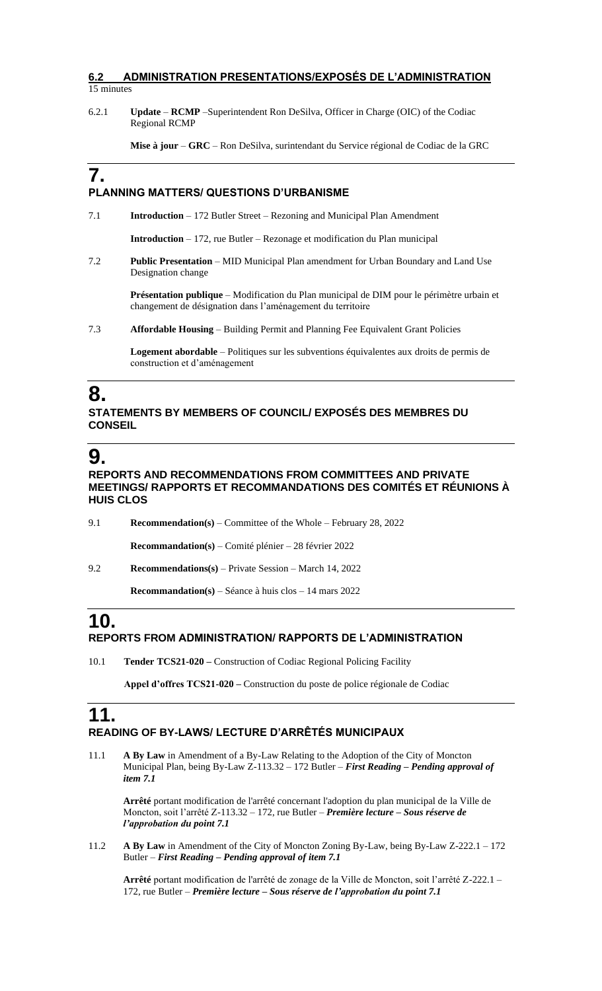#### **6.2 ADMINISTRATION PRESENTATIONS/EXPOSÉS DE L'ADMINISTRATION**  15 minutes

6.2.1 **Update** – **RCMP** –Superintendent Ron DeSilva, Officer in Charge (OIC) of the Codiac Regional RCMP

**Mise à jour** – **GRC** – Ron DeSilva, surintendant du Service régional de Codiac de la GRC

### **7.**

#### **PLANNING MATTERS/ QUESTIONS D'URBANISME**

7.1 **Introduction** – 172 Butler Street – Rezoning and Municipal Plan Amendment

**Introduction** – 172, rue Butler – Rezonage et modification du Plan municipal

7.2 **Public Presentation** – MID Municipal Plan amendment for Urban Boundary and Land Use Designation change

> **Présentation publique** – Modification du Plan municipal de DIM pour le périmètre urbain et changement de désignation dans l'aménagement du territoire

7.3 **Affordable Housing** – Building Permit and Planning Fee Equivalent Grant Policies

**Logement abordable** – Politiques sur les subventions équivalentes aux droits de permis de construction et d'aménagement

## **8.**

#### **STATEMENTS BY MEMBERS OF COUNCIL/ EXPOSÉS DES MEMBRES DU CONSEIL**

## **9.**

#### **REPORTS AND RECOMMENDATIONS FROM COMMITTEES AND PRIVATE MEETINGS/ RAPPORTS ET RECOMMANDATIONS DES COMITÉS ET RÉUNIONS À HUIS CLOS**

9.1 **Recommendation(s)** – Committee of the Whole – February 28, 2022 **Recommandation(s)** – Comité plénier – 28 février 2022 9.2 **Recommendations(s)** – Private Session – March 14, 2022 **Recommandation(s)** – Séance à huis clos – 14 mars 2022

## **10.**

#### **REPORTS FROM ADMINISTRATION/ RAPPORTS DE L'ADMINISTRATION**

10.1 **Tender TCS21-020 –** Construction of Codiac Regional Policing Facility

**Appel d'offres TCS21-020 –** Construction du poste de police régionale de Codiac

### **11. READING OF BY-LAWS/ LECTURE D'ARRÊTÉS MUNICIPAUX**

11.1 **A By Law** in Amendment of a By-Law Relating to the Adoption of the City of Moncton Municipal Plan, being By-Law Z-113.32 – 172 Butler – *First Reading – Pending approval of item 7.1*

**Arrêté** portant modification de l'arrêté concernant l'adoption du plan municipal de la Ville de Moncton, soit l'arrêté Z-113.32 – 172, rue Butler – *Première lecture – Sous réserve de l'approbation du point 7.1*

11.2 **A By Law** in Amendment of the City of Moncton Zoning By-Law, being By-Law Z-222.1 – 172 Butler – *First Reading – Pending approval of item 7.1*

**Arrêté** portant modification de l'arrêté de zonage de la Ville de Moncton, soit l'arrêté Z-222.1 – 172, rue Butler – *Première lecture – Sous réserve de l'approbation du point 7.1*